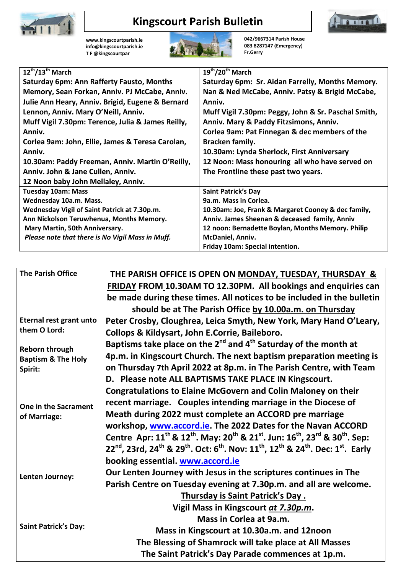

## **Kingscourt Parish Bulletin**



**[www.kingscourtparish.ie](http://www.kingscourtparish.ie/) info@kingscourtparish.ie T F @kingscourtpar** 



**042/9667314 Parish House 083 8287147 (Emergency) Fr.Gerry**

| $12^{th}/13^{th}$ March                                                  | 19th/20th March                                     |
|--------------------------------------------------------------------------|-----------------------------------------------------|
| <b>Saturday 6pm: Ann Rafferty Fausto, Months</b>                         | Saturday 6pm: Sr. Aidan Farrelly, Months Memory.    |
| Memory, Sean Forkan, Anniv. PJ McCabe, Anniv.                            | Nan & Ned McCabe, Anniv. Patsy & Brigid McCabe,     |
| Julie Ann Heary, Anniv. Brigid, Eugene & Bernard                         | Anniv.                                              |
| Lennon, Anniv. Mary O'Neill, Anniv.                                      | Muff Vigil 7.30pm: Peggy, John & Sr. Paschal Smith, |
| Muff Vigil 7.30pm: Terence, Julia & James Reilly,                        | Anniv. Mary & Paddy Fitzsimons, Anniv.              |
| Anniv.                                                                   | Corlea 9am: Pat Finnegan & dec members of the       |
| Corlea 9am: John, Ellie, James & Teresa Carolan,                         | Bracken family.                                     |
| Anniv.                                                                   | 10.30am: Lynda Sherlock, First Anniversary          |
| 10.30am: Paddy Freeman, Anniv. Martin O'Reilly,                          | 12 Noon: Mass honouring all who have served on      |
| The Frontline these past two years.<br>Anniv. John & Jane Cullen, Anniv. |                                                     |
| 12 Noon baby John Mellaley, Anniv.                                       |                                                     |
| <b>Tuesday 10am: Mass</b>                                                | <b>Saint Patrick's Day</b>                          |
| Wednesday 10a.m. Mass.                                                   | 9a.m. Mass in Corlea.                               |
| Wednesday Vigil of Saint Patrick at 7.30p.m.                             | 10.30am: Joe, Frank & Margaret Cooney & dec family, |
| Ann Nickolson Teruwhenua, Months Memory.                                 | Anniv. James Sheenan & deceased family, Anniv       |
| Mary Martin, 50th Anniversary.                                           | 12 noon: Bernadette Boylan, Months Memory. Philip   |
| Please note that there is No Vigil Mass in Muff.                         | McDaniel, Anniv.                                    |
|                                                                          | Friday 10am: Special intention.                     |

| <b>The Parish Office</b>                                          | THE PARISH OFFICE IS OPEN ON MONDAY, TUESDAY, THURSDAY &                                                                                                                         |
|-------------------------------------------------------------------|----------------------------------------------------------------------------------------------------------------------------------------------------------------------------------|
|                                                                   | FRIDAY FROM 10.30AM TO 12.30PM. All bookings and enquiries can                                                                                                                   |
|                                                                   | be made during these times. All notices to be included in the bulletin                                                                                                           |
|                                                                   | should be at The Parish Office by 10.00a.m. on Thursday                                                                                                                          |
| <b>Eternal rest grant unto</b>                                    | Peter Crosby, Cloughrea, Leica Smyth, New York, Mary Hand O'Leary,                                                                                                               |
| them O Lord:                                                      | Collops & Kildysart, John E.Corrie, Baileboro.                                                                                                                                   |
| <b>Reborn through</b><br><b>Baptism &amp; The Holy</b><br>Spirit: | Baptisms take place on the 2 <sup>nd</sup> and 4 <sup>th</sup> Saturday of the month at                                                                                          |
|                                                                   | 4p.m. in Kingscourt Church. The next baptism preparation meeting is                                                                                                              |
|                                                                   | on Thursday 7th April 2022 at 8p.m. in The Parish Centre, with Team                                                                                                              |
|                                                                   | D. Please note ALL BAPTISMS TAKE PLACE IN Kingscourt.                                                                                                                            |
|                                                                   | <b>Congratulations to Elaine McGovern and Colin Maloney on their</b>                                                                                                             |
| One in the Sacrament<br>of Marriage:                              | recent marriage. Couples intending marriage in the Diocese of                                                                                                                    |
|                                                                   | Meath during 2022 must complete an ACCORD pre marriage                                                                                                                           |
|                                                                   | workshop, www.accord.ie. The 2022 Dates for the Navan ACCORD                                                                                                                     |
|                                                                   | Centre Apr: $11^{th}$ & $12^{th}$ . May: $20^{th}$ & $21^{st}$ . Jun: $16^{th}$ , $23^{rd}$ & $30^{th}$ . Sep:                                                                   |
|                                                                   | 22 <sup>nd</sup> , 23rd, 24 <sup>th</sup> & 29 <sup>th</sup> . Oct: 6 <sup>th</sup> . Nov: 11 <sup>th</sup> , 12 <sup>th</sup> & 24 <sup>th</sup> . Dec: 1 <sup>st</sup> . Early |
|                                                                   | booking essential. www.accord.ie                                                                                                                                                 |
| Lenten Journey:                                                   | Our Lenten Journey with Jesus in the scriptures continues in The                                                                                                                 |
|                                                                   | Parish Centre on Tuesday evening at 7.30p.m. and all are welcome.                                                                                                                |
|                                                                   | Thursday is Saint Patrick's Day.                                                                                                                                                 |
| <b>Saint Patrick's Day:</b>                                       | Vigil Mass in Kingscourt at 7.30p.m.                                                                                                                                             |
|                                                                   | Mass in Corlea at 9a.m.                                                                                                                                                          |
|                                                                   | Mass in Kingscourt at 10.30a.m. and 12noon                                                                                                                                       |
|                                                                   | The Blessing of Shamrock will take place at All Masses                                                                                                                           |
|                                                                   | The Saint Patrick's Day Parade commences at 1p.m.                                                                                                                                |